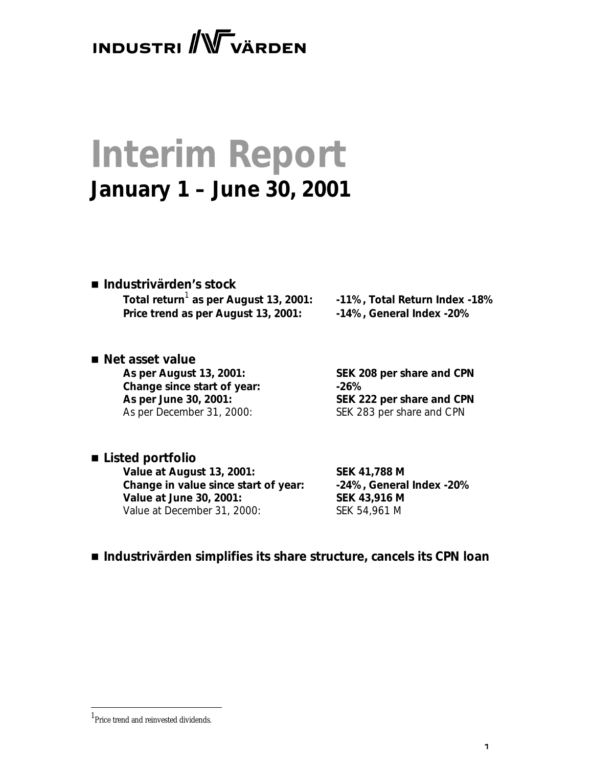**INDUSTRI / WWW.** 

# **Interim Report January 1 – June 30, 2001**

### ■ *Industrivärden's stock*

Total return<sup>1</sup> as per August 13, 2001: **Price trend as per August 13, 2001: -14%, General Index -20%**

 **as per August 13, 2001: -11%, Total Return Index -18%**

■ *Net asset value* 

**Change since start of year: -26%** As per December 31, 2000: SEK 283 per share and CPN

**As per August 13, 2001: SEK 208 per share and CPN As per June 30, 2001: SEK 222 per share and CPN**

### ■ *Listed portfolio*

**Value at August 13, 2001: SEK 41,788 M Change in value since start of year: -24%, General Index -20% Value at June 30, 2001: SEK 43,916 M** Value at December 31, 2000: SEK 54,961 M

### ■ *Industrivärden simplifies its share structure, cancels its CPN loan*

<u>.</u>

<sup>1</sup> Price trend and reinvested dividends.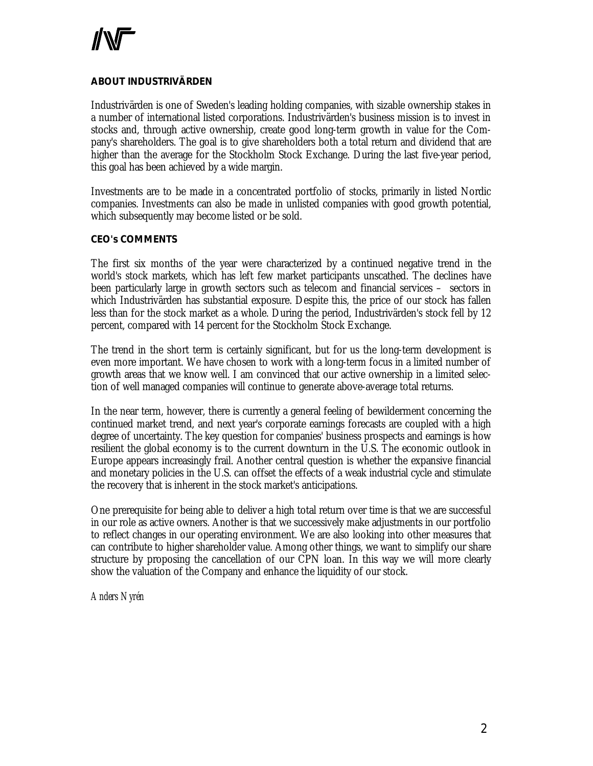#### **ABOUT INDUSTRIVÄRDEN**

Industrivärden is one of Sweden's leading holding companies, with sizable ownership stakes in a number of international listed corporations. Industrivärden's business mission is to invest in stocks and, through active ownership, create good long-term growth in value for the Company's shareholders. The goal is to give shareholders both a total return and dividend that are higher than the average for the Stockholm Stock Exchange. During the last five-year period, this goal has been achieved by a wide margin.

Investments are to be made in a concentrated portfolio of stocks, primarily in listed Nordic companies. Investments can also be made in unlisted companies with good growth potential, which subsequently may become listed or be sold.

#### **CEO's COMMENTS**

The first six months of the year were characterized by a continued negative trend in the world's stock markets, which has left few market participants unscathed. The declines have been particularly large in growth sectors such as telecom and financial services – sectors in which Industrivärden has substantial exposure. Despite this, the price of our stock has fallen less than for the stock market as a whole. During the period, Industrivärden's stock fell by 12 percent, compared with 14 percent for the Stockholm Stock Exchange.

The trend in the short term is certainly significant, but for us the long-term development is even more important. We have chosen to work with a long-term focus in a limited number of growth areas that we know well. I am convinced that our active ownership in a limited selection of well managed companies will continue to generate above-average total returns.

In the near term, however, there is currently a general feeling of bewilderment concerning the continued market trend, and next year's corporate earnings forecasts are coupled with a high degree of uncertainty. The key question for companies' business prospects and earnings is how resilient the global economy is to the current downturn in the U.S. The economic outlook in Europe appears increasingly frail. Another central question is whether the expansive financial and monetary policies in the U.S. can offset the effects of a weak industrial cycle and stimulate the recovery that is inherent in the stock market's anticipations.

One prerequisite for being able to deliver a high total return over time is that we are successful in our role as active owners. Another is that we successively make adjustments in our portfolio to reflect changes in our operating environment. We are also looking into other measures that can contribute to higher shareholder value. Among other things, we want to simplify our share structure by proposing the cancellation of our CPN loan. In this way we will more clearly show the valuation of the Company and enhance the liquidity of our stock.

*Anders Nyrén*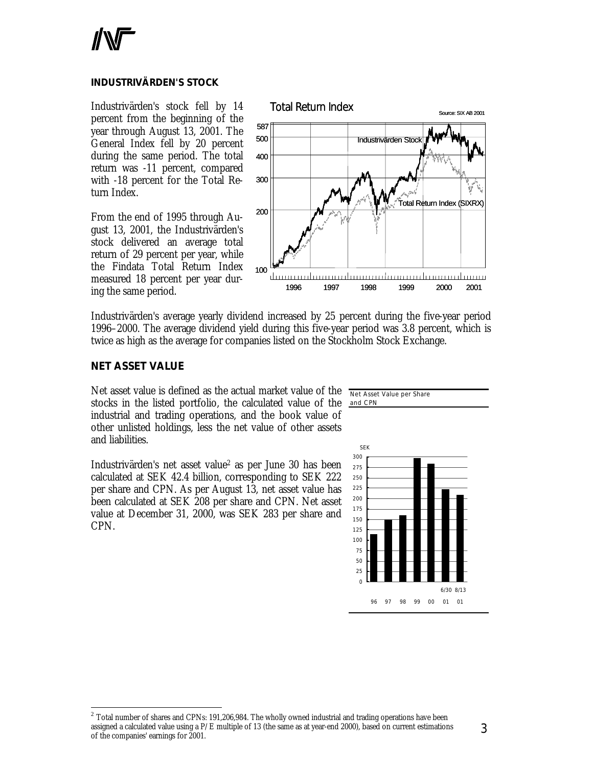#### **INDUSTRIVÄRDEN'S STOCK**

Industrivärden's stock fell by 14 percent from the beginning of the year through August 13, 2001. The General Index fell by 20 percent during the same period. The total return was -11 percent, compared with -18 percent for the Total Return Index.

From the end of 1995 through August 13, 2001, the Industrivärden's stock delivered an average total return of 29 percent per year, while the Findata Total Return Index measured 18 percent per year during the same period.



Industrivärden's average yearly dividend increased by 25 percent during the five-year period 1996–2000. The average dividend yield during this five-year period was 3.8 percent, which is twice as high as the average for companies listed on the Stockholm Stock Exchange.

#### **NET ASSET VALUE**

<u>.</u>

Net asset value is defined as the actual market value of the  $\pi_\mathsf{net\, Asset\,Value\,per\,Share}$ stocks in the listed portfolio, the calculated value of the industrial and trading operations, and the book value of other unlisted holdings, less the net value of other assets and liabilities.

Industrivärden's net asset value<sup>2</sup> as per June 30 has been calculated at SEK 42.4 billion, corresponding to SEK 222 per share and CPN. As per August 13, net asset value has been calculated at SEK 208 per share and CPN. Net asset value at December 31, 2000, was SEK 283 per share and CPN.



 $2$  Total number of shares and CPNs: 191,206,984. The wholly owned industrial and trading operations have been assigned a calculated value using a P/E multiple of 13 (the same as at year-end 2000), based on current estimations of the companies' earnings for 2001.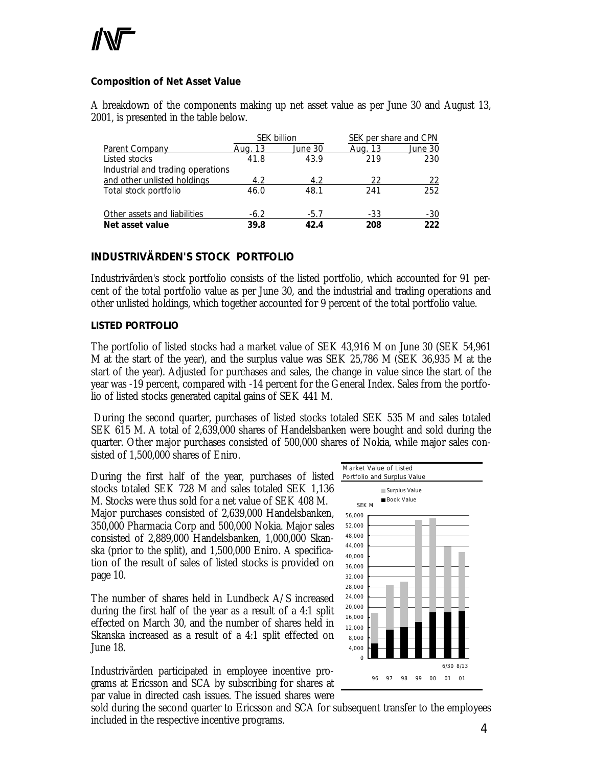#### **Composition of Net Asset Value**

A breakdown of the components making up net asset value as per June 30 and August 13, 2001, is presented in the table below.

|                                   | <b>SEK billion</b> |         |         | SEK per share and CPN |
|-----------------------------------|--------------------|---------|---------|-----------------------|
| Parent Company                    | Aug. 13            | June 30 | Aug. 13 | June 30               |
| Listed stocks                     | 41.8               | 43.9    | 219     | 230                   |
| Industrial and trading operations |                    |         |         |                       |
| and other unlisted holdings       | 4.2                | 4.2     | 22      | 22                    |
| Total stock portfolio             | 46.0               | 48.1    | 241     | 252                   |
| Other assets and liabilities      | $-6.2$             | $-5.7$  | $-33$   | $-30$                 |
| Net asset value                   | 39.8               | 424     | 208     | つつつ                   |

#### **INDUSTRIVÄRDEN'S STOCK PORTFOLIO**

Industrivärden's stock portfolio consists of the listed portfolio, which accounted for 91 percent of the total portfolio value as per June 30, and the industrial and trading operations and other unlisted holdings, which together accounted for 9 percent of the total portfolio value.

#### *LISTED PORTFOLIO*

The portfolio of listed stocks had a market value of SEK 43,916 M on June 30 (SEK 54,961 M at the start of the year), and the surplus value was SEK 25,786 M (SEK 36,935 M at the start of the year). Adjusted for purchases and sales, the change in value since the start of the year was -19 percent, compared with -14 percent for the General Index. Sales from the portfolio of listed stocks generated capital gains of SEK 441 M.

 During the second quarter, purchases of listed stocks totaled SEK 535 M and sales totaled SEK 615 M. A total of 2,639,000 shares of Handelsbanken were bought and sold during the quarter. Other major purchases consisted of 500,000 shares of Nokia, while major sales consisted of 1,500,000 shares of Eniro.

During the first half of the year, purchases of listed stocks totaled SEK 728 M and sales totaled SEK 1,136 M. Stocks were thus sold for a net value of SEK 408 M. Major purchases consisted of 2,639,000 Handelsbanken, 350,000 Pharmacia Corp and 500,000 Nokia. Major sales consisted of 2,889,000 Handelsbanken, 1,000,000 Skanska (prior to the split), and 1,500,000 Eniro. A specification of the result of sales of listed stocks is provided on page 10.

The number of shares held in Lundbeck A/S increased during the first half of the year as a result of a 4:1 split effected on March 30, and the number of shares held in Skanska increased as a result of a 4:1 split effected on June 18.

Industrivärden participated in employee incentive programs at Ericsson and SCA by subscribing for shares at par value in directed cash issues. The issued shares were



sold during the second quarter to Ericsson and SCA for subsequent transfer to the employees included in the respective incentive programs.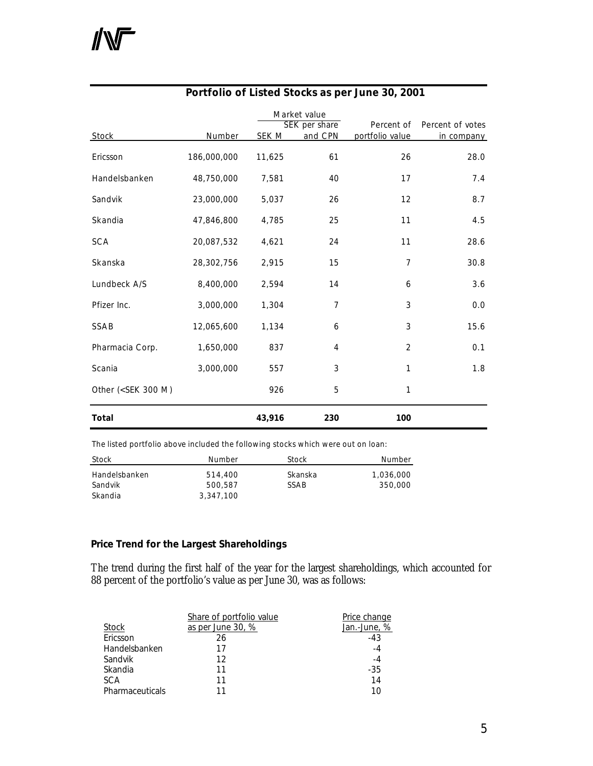## $\mathbb{I}\mathbb{N}$

|                                                                                           | Number      |              | SEK per share<br>and CPN | Percent of      | Percent of votes |
|-------------------------------------------------------------------------------------------|-------------|--------------|--------------------------|-----------------|------------------|
| Stock                                                                                     |             | <b>SEK M</b> |                          | portfolio value | in company       |
| Ericsson                                                                                  | 186,000,000 | 11,625       | 61                       | 26              | 28.0             |
| Handelsbanken                                                                             | 48,750,000  | 7,581        | 40                       | 17              | 7.4              |
| Sandvik                                                                                   | 23,000,000  | 5,037        | 26                       | 12              | 8.7              |
| Skandia                                                                                   | 47,846,800  | 4,785        | 25                       | 11              | 4.5              |
| <b>SCA</b>                                                                                | 20,087,532  | 4,621        | 24                       | 11              | 28.6             |
| Skanska                                                                                   | 28,302,756  | 2,915        | 15                       | $\overline{7}$  | 30.8             |
| Lundbeck A/S                                                                              | 8,400,000   | 2,594        | 14                       | 6               | 3.6              |
| Pfizer Inc.                                                                               | 3,000,000   | 1,304        | 7                        | 3               | 0.0              |
| SSAB                                                                                      | 12,065,600  | 1,134        | 6                        | 3               | 15.6             |
| Pharmacia Corp.                                                                           | 1,650,000   | 837          | 4                        | $\overline{2}$  | 0.1              |
| Scania                                                                                    | 3,000,000   | 557          | 3                        | 1               | 1.8              |
| Other ( <sek 300="" m)<="" td=""><td></td><td>926</td><td>5</td><td>1</td><td></td></sek> |             | 926          | 5                        | 1               |                  |
| Total                                                                                     |             | 43,916       | 230                      | 100             |                  |

### **Portfolio of Listed Stocks as per June 30, 2001**

The listed portfolio above included the following stocks which were out on loan:

| Stock         | Number    | Stock       | Number    |
|---------------|-----------|-------------|-----------|
| Handelsbanken | 514,400   | Skanska     | 1,036,000 |
| Sandvik       | 500.587   | <b>SSAB</b> | 350,000   |
| Skandia       | 3,347,100 |             |           |

#### **Price Trend for the Largest Shareholdings**

The trend during the first half of the year for the largest shareholdings, which accounted for 88 percent of the portfolio's value as per June 30, was as follows:

|                 | Share of portfolio value | Price change        |
|-----------------|--------------------------|---------------------|
| <b>Stock</b>    | as per June 30, %        | <u>Jan.-June, %</u> |
| Ericsson        | 26                       | $-4.3$              |
| Handelsbanken   | 17                       | $-4$                |
| Sandvik         | 12                       | $-4$                |
| Skandia         | 11                       | $-35$               |
| <b>SCA</b>      | 11                       | 14                  |
| Pharmaceuticals | 11                       | 10                  |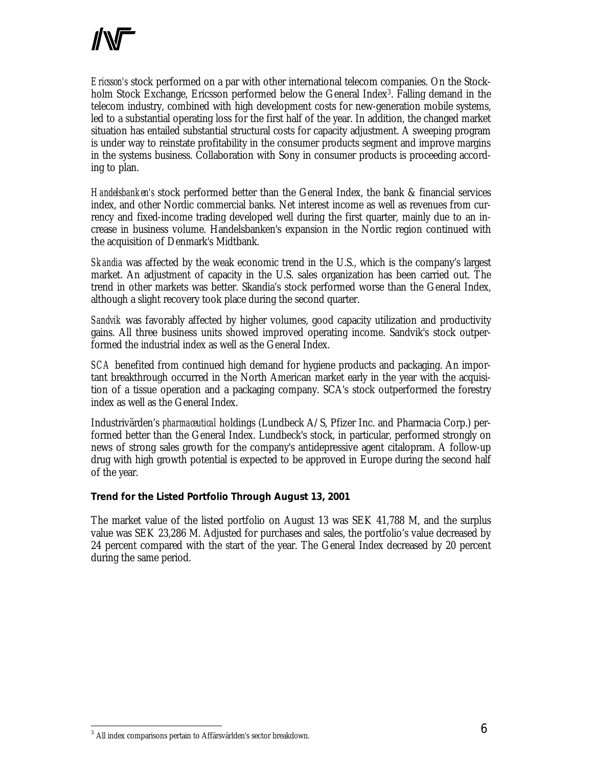*Ericsson's* stock performed on a par with other international telecom companies. On the Stockholm Stock Exchange, Ericsson performed below the General Index<sup>3</sup> . Falling demand in the telecom industry, combined with high development costs for new-generation mobile systems, led to a substantial operating loss for the first half of the year. In addition, the changed market situation has entailed substantial structural costs for capacity adjustment. A sweeping program is under way to reinstate profitability in the consumer products segment and improve margins in the systems business. Collaboration with Sony in consumer products is proceeding according to plan.

*Handelsbanken's* stock performed better than the General Index, the bank & financial services index, and other Nordic commercial banks. Net interest income as well as revenues from currency and fixed-income trading developed well during the first quarter, mainly due to an increase in business volume. Handelsbanken's expansion in the Nordic region continued with the acquisition of Denmark's Midtbank.

*Skandia* was affected by the weak economic trend in the U.S., which is the company's largest market. An adjustment of capacity in the U.S. sales organization has been carried out. The trend in other markets was better. Skandia's stock performed worse than the General Index, although a slight recovery took place during the second quarter.

*Sandvik* was favorably affected by higher volumes, good capacity utilization and productivity gains. All three business units showed improved operating income. Sandvik's stock outperformed the industrial index as well as the General Index.

*SCA* benefited from continued high demand for hygiene products and packaging. An important breakthrough occurred in the North American market early in the year with the acquisition of a tissue operation and a packaging company. SCA's stock outperformed the forestry index as well as the General Index.

Industrivärden's *pharmaceutical* holdings (Lundbeck A/S, Pfizer Inc. and Pharmacia Corp.) performed better than the General Index. Lundbeck's stock, in particular, performed strongly on news of strong sales growth for the company's antidepressive agent citalopram. A follow-up drug with high growth potential is expected to be approved in Europe during the second half of the year.

#### **Trend for the Listed Portfolio Through August 13, 2001**

The market value of the listed portfolio on August 13 was SEK 41,788 M, and the surplus value was SEK 23,286 M. Adjusted for purchases and sales, the portfolio's value decreased by 24 percent compared with the start of the year. The General Index decreased by 20 percent during the same period.

<u>.</u>

<sup>&</sup>lt;sup>3</sup> All index comparisons pertain to Affärsvärlden's sector breakdown.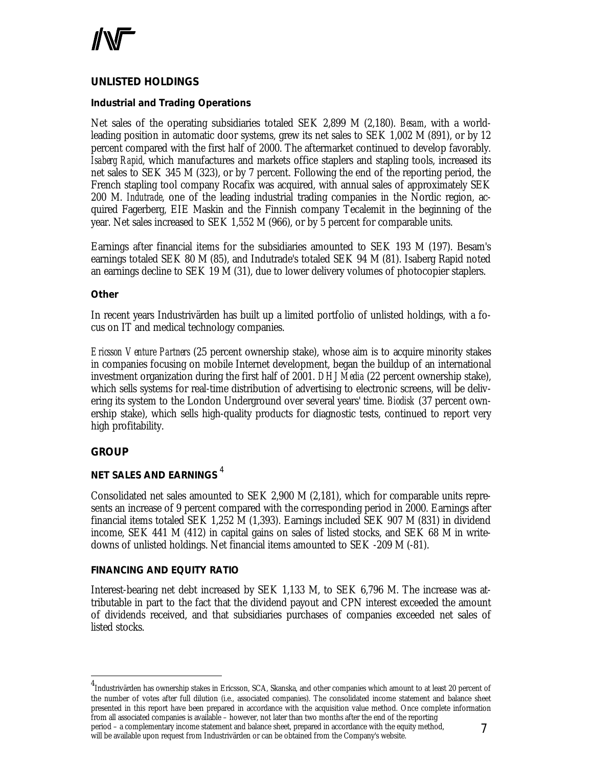#### *UNLISTED HOLDINGS*

#### **Industrial and Trading Operations**

Net sales of the operating subsidiaries totaled SEK 2,899 M (2,180). *Besam*, with a worldleading position in automatic door systems, grew its net sales to SEK 1,002 M (891), or by 12 percent compared with the first half of 2000. The aftermarket continued to develop favorably. *Isaberg Rapid*, which manufactures and markets office staplers and stapling tools, increased its net sales to SEK 345 M (323), or by 7 percent. Following the end of the reporting period, the French stapling tool company Rocafix was acquired, with annual sales of approximately SEK 200 M. *Indutrade*, one of the leading industrial trading companies in the Nordic region, acquired Fagerberg, EIE Maskin and the Finnish company Tecalemit in the beginning of the year. Net sales increased to SEK 1,552 M (966), or by 5 percent for comparable units.

Earnings after financial items for the subsidiaries amounted to SEK 193 M (197). Besam's earnings totaled SEK 80 M (85), and Indutrade's totaled SEK 94 M (81). Isaberg Rapid noted an earnings decline to SEK 19 M (31), due to lower delivery volumes of photocopier staplers.

#### **Other**

In recent years Industrivärden has built up a limited portfolio of unlisted holdings, with a focus on IT and medical technology companies.

*Ericsson Venture Partners* (25 percent ownership stake), whose aim is to acquire minority stakes in companies focusing on mobile Internet development, began the buildup of an international investment organization during the first half of 2001. *DHJ Media* (22 percent ownership stake), which sells systems for real-time distribution of advertising to electronic screens, will be delivering its system to the London Underground over several years' time. *Biodisk* (37 percent ownership stake), which sells high-quality products for diagnostic tests, continued to report very high profitability.

#### **GROUP**

1

#### **NET SALES AND EARNINGS** <sup>4</sup>

Consolidated net sales amounted to SEK 2,900 M (2,181), which for comparable units represents an increase of 9 percent compared with the corresponding period in 2000. Earnings after financial items totaled SEK 1,252 M (1,393). Earnings included SEK 907 M (831) in dividend income, SEK 441 M (412) in capital gains on sales of listed stocks, and SEK 68 M in writedowns of unlisted holdings. Net financial items amounted to SEK -209 M (-81).

#### *FINANCING AND EQUITY RATIO*

Interest-bearing net debt increased by SEK 1,133 M, to SEK 6,796 M. The increase was attributable in part to the fact that the dividend payout and CPN interest exceeded the amount of dividends received, and that subsidiaries purchases of companies exceeded net sales of listed stocks.

will be available upon request from Industrivärden or can be obtained from the Company's website.

<sup>7</sup> <sup>4</sup>Industrivärden has ownership stakes in Ericsson, SCA, Skanska, and other companies which amount to at least 20 percent of the number of votes after full dilution (i.e., associated companies). The consolidated income statement and balance sheet presented in this report have been prepared in accordance with the acquisition value method. Once complete information from all associated companies is available – however, not later than two months after the end of the reporting period – a complementary income statement and balance sheet, prepared in accordance with the equity method,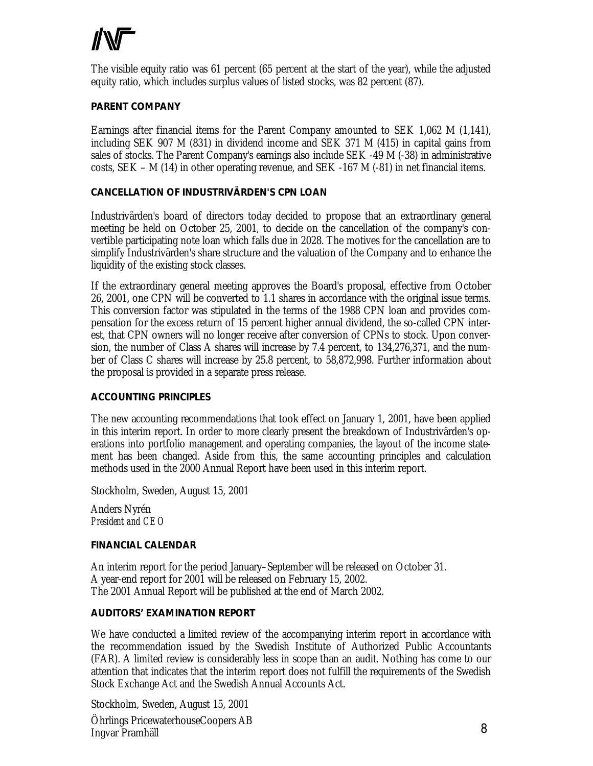The visible equity ratio was 61 percent (65 percent at the start of the year), while the adjusted equity ratio, which includes surplus values of listed stocks, was 82 percent (87).

#### *PARENT COMPANY*

Earnings after financial items for the Parent Company amounted to SEK 1,062 M (1,141), including SEK 907 M (831) in dividend income and SEK 371 M (415) in capital gains from sales of stocks. The Parent Company's earnings also include SEK -49 M (-38) in administrative costs, SEK – M (14) in other operating revenue, and SEK -167 M (-81) in net financial items.

#### **CANCELLATION OF INDUSTRIVÄRDEN'S CPN LOAN**

Industrivärden's board of directors today decided to propose that an extraordinary general meeting be held on October 25, 2001, to decide on the cancellation of the company's convertible participating note loan which falls due in 2028. The motives for the cancellation are to simplify Industrivärden's share structure and the valuation of the Company and to enhance the liquidity of the existing stock classes.

If the extraordinary general meeting approves the Board's proposal, effective from October 26, 2001, one CPN will be converted to 1.1 shares in accordance with the original issue terms. This conversion factor was stipulated in the terms of the 1988 CPN loan and provides compensation for the excess return of 15 percent higher annual dividend, the so-called CPN interest, that CPN owners will no longer receive after conversion of CPNs to stock. Upon conversion, the number of Class A shares will increase by 7.4 percent, to 134,276,371, and the number of Class C shares will increase by 25.8 percent, to 58,872,998. Further information about the proposal is provided in a separate press release.

#### **ACCOUNTING PRINCIPLES**

The new accounting recommendations that took effect on January 1, 2001, have been applied in this interim report. In order to more clearly present the breakdown of Industrivärden's operations into portfolio management and operating companies, the layout of the income statement has been changed. Aside from this, the same accounting principles and calculation methods used in the 2000 Annual Report have been used in this interim report.

Stockholm, Sweden, August 15, 2001

Anders Nyrén *President and CEO*

#### **FINANCIAL CALENDAR**

An interim report for the period January–September will be released on October 31. A year-end report for 2001 will be released on February 15, 2002. The 2001 Annual Report will be published at the end of March 2002.

#### **AUDITORS' EXAMINATION REPORT**

We have conducted a limited review of the accompanying interim report in accordance with the recommendation issued by the Swedish Institute of Authorized Public Accountants (FAR). A limited review is considerably less in scope than an audit. Nothing has come to our attention that indicates that the interim report does not fulfill the requirements of the Swedish Stock Exchange Act and the Swedish Annual Accounts Act.

Stockholm, Sweden, August 15, 2001

Öhrlings PricewaterhouseCoopers AB Ingvar Pramhäll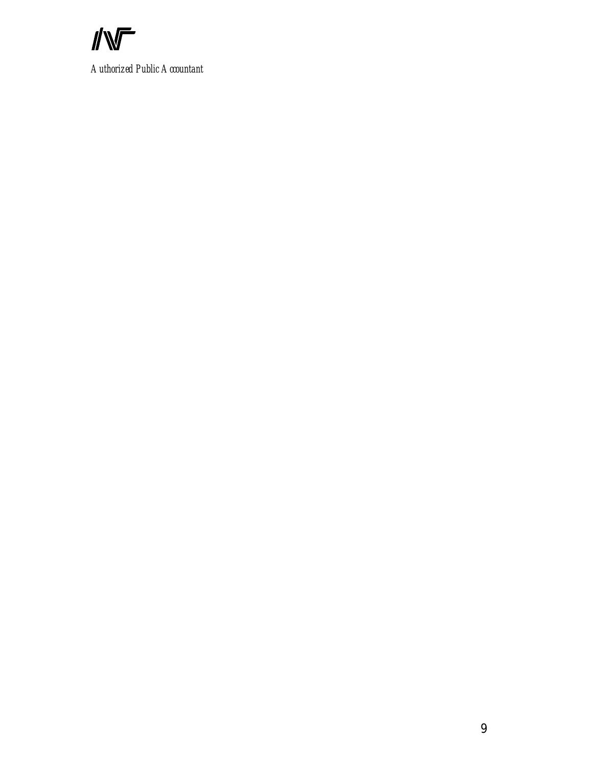

*Authorized Public Accountant*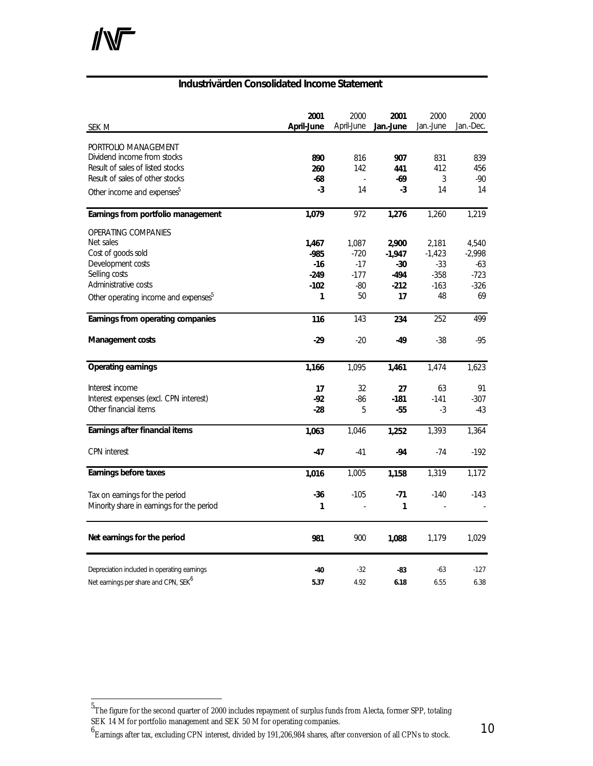<u>.</u>

#### **Industrivärden Consolidated Income Statement**

|                                                  | 2001       | 2000       | 2001      | 2000      | 2000      |
|--------------------------------------------------|------------|------------|-----------|-----------|-----------|
| SEK <sub>M</sub>                                 | April-June | April-June | Jan.-June | Jan.-June | Jan.-Dec. |
| PORTFOLIO MANAGEMENT                             |            |            |           |           |           |
| Dividend income from stocks                      | 890        | 816        | 907       | 831       | 839       |
| Result of sales of listed stocks                 | 260        | 142        | 441       | 412       | 456       |
| Result of sales of other stocks                  | -68        |            | -69       | 3         | $-90$     |
| Other income and expenses <sup>5</sup>           | $-3$       | 14         | -3        | 14        | 14        |
| Earnings from portfolio management               | 1,079      | 972        | 1,276     | 1,260     | 1,219     |
|                                                  |            |            |           |           |           |
| <b>OPERATING COMPANIES</b>                       |            |            |           |           |           |
| Net sales                                        | 1,467      | 1,087      | 2,900     | 2,181     | 4,540     |
| Cost of goods sold                               | $-985$     | $-720$     | $-1,947$  | $-1,423$  | $-2,998$  |
| Development costs                                | $-16$      | $-17$      | -30       | $-33$     | -63       |
| Selling costs                                    | $-249$     | $-177$     | -494      | $-358$    | $-723$    |
| Administrative costs                             | $-102$     | $-80$      | $-212$    | $-163$    | $-326$    |
| Other operating income and expenses <sup>b</sup> | 1          | 50         | 17        | 48        | 69        |
| Earnings from operating companies                | 116        | 143        | 234       | 252       | 499       |
| Management costs                                 | $-29$      | $-20$      | -49       | $-38$     | -95       |
| <b>Operating earnings</b>                        | 1,166      | 1,095      | 1,461     | 1,474     | 1,623     |
| Interest income                                  | 17         | 32         | 27        | 63        | 91        |
| Interest expenses (excl. CPN interest)           | -92        | $-86$      | $-181$    | $-141$    | $-307$    |
| Other financial items                            | $-28$      | 5          | $-55$     | $-3$      | $-43$     |
| Earnings after financial items                   | 1,063      | 1,046      | 1,252     | 1,393     | 1,364     |
| <b>CPN</b> interest                              | -47        | $-41$      | -94       | $-74$     | $-192$    |
| Earnings before taxes                            | 1,016      | 1,005      | 1,158     | 1,319     | 1,172     |
| Tax on earnings for the period                   | $-36$      | $-105$     | -71       | $-140$    | $-143$    |
| Minority share in earnings for the period        | 1          |            | 1         |           |           |
| Net earnings for the period                      | 981        | 900        | 1,088     | 1,179     | 1,029     |
| Depreciation included in operating earnings      | $-40$      | $-32$      | -83       | $-63$     | $-127$    |
| Net earnings per share and CPN, SEK <sup>6</sup> | 5.37       | 4.92       | 6.18      | 6.55      | 6.38      |

 $^6$ Earnings after tax, excluding CPN interest, divided by 191,206,984 shares, after conversion of all CPNs to stock.

<sup>&</sup>lt;sup>5</sup>The figure for the second quarter of 2000 includes repayment of surplus funds from Alecta, former SPP, totaling SEK 14 M for portfolio management and SEK 50 M for operating companies.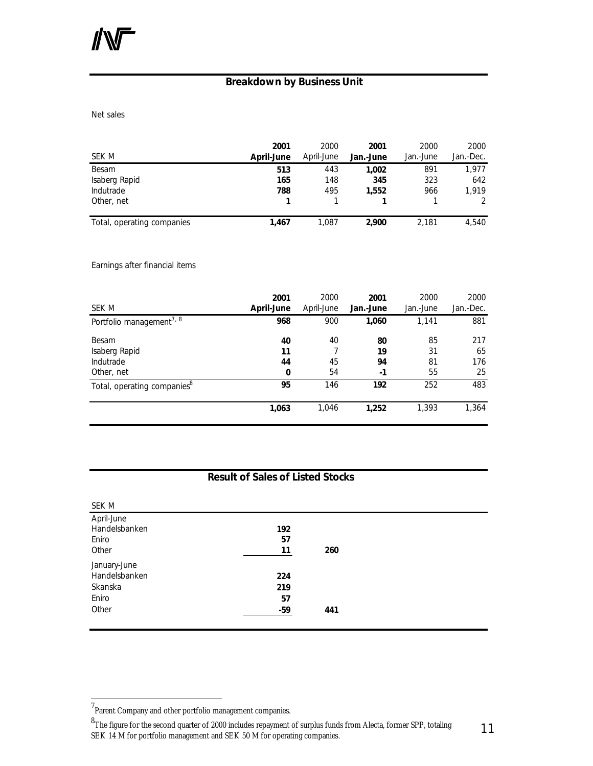### **Breakdown by Business Unit**

Net sales

| SEK M                      | 2001<br>April-June | 2000<br>April-June | 2001<br>Jan.-June | 2000<br>Jan.-June | 2000<br>Jan.-Dec. |
|----------------------------|--------------------|--------------------|-------------------|-------------------|-------------------|
| Besam                      | 513                | 443                | 1,002             | 891               | 1,977             |
| Isaberg Rapid              | 165                | 148                | 345               | 323               | 642               |
| Indutrade                  | 788                | 495                | 1,552             | 966               | 1.919             |
| Other, net                 |                    |                    |                   |                   |                   |
| Total, operating companies | 1,467              | 1.087              | 2.900             | 2.181             | 4.540             |

Earnings after financial items

| SEK M                                             | 2001<br>April-June         | 2000<br>April-June | 2001<br>Jan.-June      | 2000<br>Jan.-June    | 2000<br>Jan.-Dec.      |
|---------------------------------------------------|----------------------------|--------------------|------------------------|----------------------|------------------------|
| Portfolio management <sup>7, 8</sup>              | 968                        | 900                | 1,060                  | 1,141                | 881                    |
| Besam<br>Isaberg Rapid<br>Indutrade<br>Other, net | 40<br>11<br>44<br>$\bf{0}$ | 40<br>45<br>54     | 80<br>19<br>94<br>$-1$ | 85<br>31<br>81<br>55 | 217<br>65<br>176<br>25 |
| Total, operating companies <sup>8</sup>           | 95                         | 146                | 192                    | 252                  | 483                    |
|                                                   | 1,063                      | 1,046              | 1,252                  | 1,393                | 1,364                  |

#### **Result of Sales of Listed Stocks**

| SEK M         |       |     |  |
|---------------|-------|-----|--|
| April-June    |       |     |  |
| Handelsbanken | 192   |     |  |
| Eniro         | 57    |     |  |
| Other         | 11    | 260 |  |
| January-June  |       |     |  |
| Handelsbanken | 224   |     |  |
| Skanska       | 219   |     |  |
| Eniro         | 57    |     |  |
| Other         | $-59$ | 441 |  |
|               |       |     |  |

<u>.</u>

 $7$ Parent Company and other portfolio management companies.

<sup>8&</sup>lt;br>The figure for the second quarter of 2000 includes repayment of surplus funds from Alecta, former SPP, totaling SEK 14 M for portfolio management and SEK 50 M for operating companies.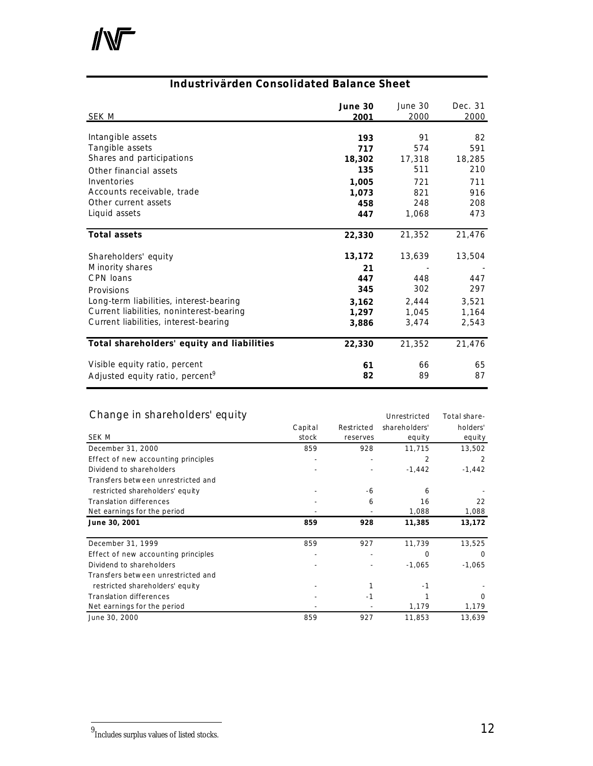

### **Industrivärden Consolidated Balance Sheet**

| <b>SEK M</b>                                | June 30<br>2001 | June 30<br>2000 | Dec. 31<br>2000 |
|---------------------------------------------|-----------------|-----------------|-----------------|
|                                             |                 |                 |                 |
| Intangible assets                           | 193             | 91              | 82              |
| Tangible assets                             | 717             | 574             | 591             |
| Shares and participations                   | 18,302          | 17,318          | 18,285          |
| Other financial assets                      | 135             | 511             | 210             |
| Inventories                                 | 1,005           | 721             | 711             |
| Accounts receivable, trade                  | 1,073           | 821             | 916             |
| Other current assets                        | 458             | 248             | 208             |
| Liquid assets                               | 447             | 1,068           | 473             |
| <b>Total assets</b>                         | 22,330          | 21,352          | 21,476          |
| Shareholders' equity                        | 13,172          | 13,639          | 13,504          |
| Minority shares                             | 21              |                 |                 |
| CPN loans                                   | 447             | 448             | 447             |
| Provisions                                  | 345             | 302             | 297             |
| Long-term liabilities, interest-bearing     | 3,162           | 2,444           | 3,521           |
| Current liabilities, noninterest-bearing    | 1,297           | 1,045           | 1,164           |
| Current liabilities, interest-bearing       | 3,886           | 3,474           | 2,543           |
| Total shareholders' equity and liabilities  | 22,330          | 21,352          | 21,476          |
| Visible equity ratio, percent               | 61              | 66              | 65              |
| Adjusted equity ratio, percent <sup>9</sup> | 82              | 89              | 87              |

#### Change in shareholders' equity and the Change in share-

| $\frac{1}{2}$                       |         |            |               | 1 U LUI JHUI U |
|-------------------------------------|---------|------------|---------------|----------------|
|                                     | Capital | Restricted | shareholders' | holders'       |
| SEK M                               | stock   | reserves   | equity        | equity         |
| December 31, 2000                   | 859     | 928        | 11,715        | 13,502         |
| Effect of new accounting principles |         |            | 2             | 2              |
| Dividend to shareholders            |         |            | $-1,442$      | $-1,442$       |
| Transfers between unrestricted and  |         |            |               |                |
| restricted shareholders' equity     |         | -6         | 6             |                |
| <b>Translation differences</b>      |         | 6          | 16            | 22             |
| Net earnings for the period         |         |            | 1,088         | 1,088          |
| June 30, 2001                       | 859     | 928        | 11,385        | 13,172         |
| December 31, 1999                   | 859     | 927        | 11,739        | 13,525         |
| Effect of new accounting principles |         |            | 0             | 0              |
| Dividend to shareholders            |         |            | $-1,065$      | $-1,065$       |
| Transfers between unrestricted and  |         |            |               |                |
| restricted shareholders' equity     |         |            | $-1$          |                |
| <b>Translation differences</b>      |         | $-1$       |               | 0              |
| Net earnings for the period         |         |            | 1,179         | 1,179          |
| June 30, 2000                       | 859     | 927        | 11,853        | 13,639         |

.